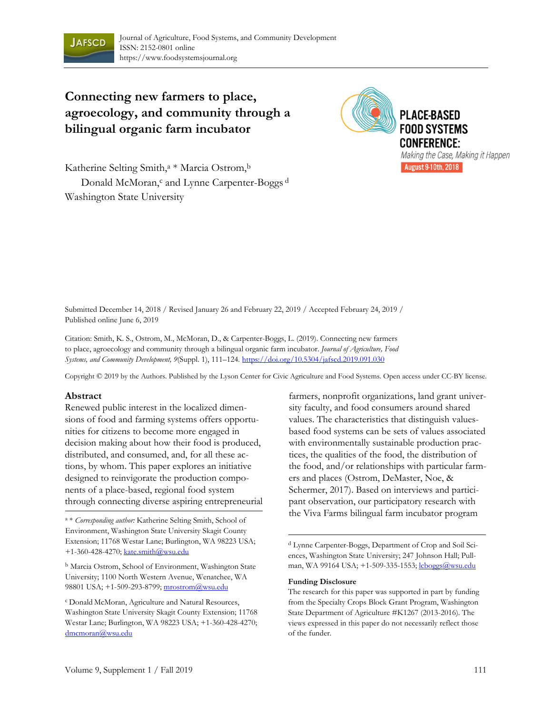

# **Connecting new farmers to place, agroecology, and community through a bilingual organic farm incubator**



Katherine Selting Smith,<sup>a</sup> \* Marcia Ostrom,<sup>b</sup> Donald McMoran,<sup>c</sup> and Lynne Carpenter-Boggs<sup>d</sup> Washington State University

Submitted December 14, 2018 / Revised January 26 and February 22, 2019 / Accepted February 24, 2019 / Published online June 6, 2019

Citation: Smith, K. S., Ostrom, M., McMoran, D., & Carpenter-Boggs, L. (2019). Connecting new farmers to place, agroecology and community through a bilingual organic farm incubator. *Journal of Agriculture, Food Systems, and Community Development, 9*(Suppl. 1), 111–124*.* https://doi.org/10.5304/jafscd.2019.091.030

Copyright © 2019 by the Authors. Published by the Lyson Center for Civic Agriculture and Food Systems. Open access under CC-BY license.

#### **Abstract**

Renewed public interest in the localized dimensions of food and farming systems offers opportunities for citizens to become more engaged in decision making about how their food is produced, distributed, and consumed, and, for all these actions, by whom. This paper explores an initiative designed to reinvigorate the production components of a place-based, regional food system through connecting diverse aspiring entrepreneurial

Environment, Washington State University Skagit County Extension; 11768 Westar Lane; Burlington, WA 98223 USA; +1-360-428-4270; kate.smith@wsu.edu

<sup>b</sup> Marcia Ostrom, School of Environment, Washington State University; 1100 North Western Avenue, Wenatchee, WA 98801 USA; +1-509-293-8799; mrostrom@wsu.edu

c Donald McMoran, Agriculture and Natural Resources, Washington State University Skagit County Extension; 11768 Westar Lane; Burlington, WA 98223 USA; +1-360-428-4270; dmcmoran@wsu.edu

farmers, nonprofit organizations, land grant university faculty, and food consumers around shared values. The characteristics that distinguish valuesbased food systems can be sets of values associated with environmentally sustainable production practices, the qualities of the food, the distribution of the food, and/or relationships with particular farmers and places (Ostrom, DeMaster, Noe, & Schermer, 2017). Based on interviews and participant observation, our participatory research with <sup>a</sup> \* *Corresponding author:* Katherine Selting Smith, School of the Viva Farms bilingual farm incubator program

> d Lynne Carpenter-Boggs, Department of Crop and Soil Sciences, Washington State University; 247 Johnson Hall; Pullman, WA 99164 USA; +1-509-335-1553; lcboggs@wsu.edu

#### **Funding Disclosure**

The research for this paper was supported in part by funding from the Specialty Crops Block Grant Program, Washington State Department of Agriculture #K1267 (2013-2016). The views expressed in this paper do not necessarily reflect those of the funder.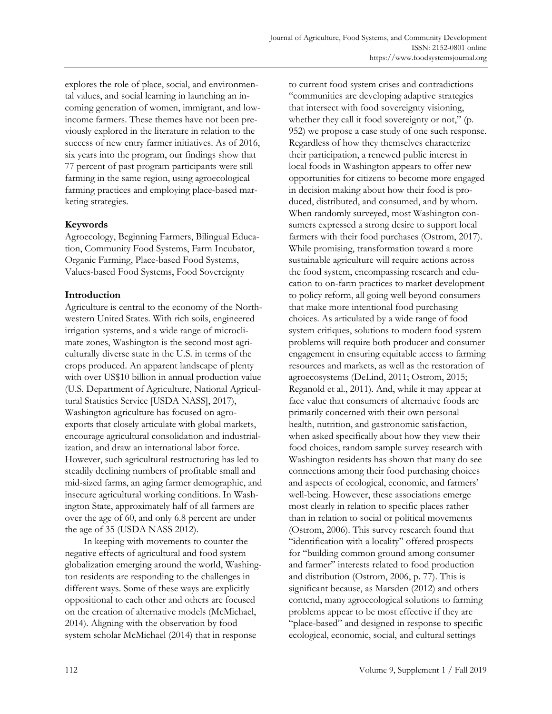explores the role of place, social, and environmental values, and social learning in launching an incoming generation of women, immigrant, and lowincome farmers. These themes have not been previously explored in the literature in relation to the success of new entry farmer initiatives. As of 2016, six years into the program, our findings show that 77 percent of past program participants were still farming in the same region, using agroecological farming practices and employing place-based marketing strategies.

#### **Keywords**

Agroecology, Beginning Farmers, Bilingual Education, Community Food Systems, Farm Incubator, Organic Farming, Place-based Food Systems, Values-based Food Systems, Food Sovereignty

## **Introduction**

Agriculture is central to the economy of the Northwestern United States. With rich soils, engineered irrigation systems, and a wide range of microclimate zones, Washington is the second most agriculturally diverse state in the U.S. in terms of the crops produced. An apparent landscape of plenty with over US\$10 billion in annual production value (U.S. Department of Agriculture, National Agricultural Statistics Service [USDA NASS], 2017), Washington agriculture has focused on agroexports that closely articulate with global markets, encourage agricultural consolidation and industrialization, and draw an international labor force. However, such agricultural restructuring has led to steadily declining numbers of profitable small and mid-sized farms, an aging farmer demographic, and insecure agricultural working conditions. In Washington State, approximately half of all farmers are over the age of 60, and only 6.8 percent are under the age of 35 (USDA NASS 2012).

 In keeping with movements to counter the negative effects of agricultural and food system globalization emerging around the world, Washington residents are responding to the challenges in different ways. Some of these ways are explicitly oppositional to each other and others are focused on the creation of alternative models (McMichael, 2014). Aligning with the observation by food system scholar McMichael (2014) that in response

to current food system crises and contradictions "communities are developing adaptive strategies that intersect with food sovereignty visioning, whether they call it food sovereignty or not," (p. 952) we propose a case study of one such response. Regardless of how they themselves characterize their participation, a renewed public interest in local foods in Washington appears to offer new opportunities for citizens to become more engaged in decision making about how their food is produced, distributed, and consumed, and by whom. When randomly surveyed, most Washington consumers expressed a strong desire to support local farmers with their food purchases (Ostrom, 2017). While promising, transformation toward a more sustainable agriculture will require actions across the food system, encompassing research and education to on-farm practices to market development to policy reform, all going well beyond consumers that make more intentional food purchasing choices. As articulated by a wide range of food system critiques, solutions to modern food system problems will require both producer and consumer engagement in ensuring equitable access to farming resources and markets, as well as the restoration of agroecosystems (DeLind, 2011; Ostrom, 2015; Reganold et al., 2011)*.* And, while it may appear at face value that consumers of alternative foods are primarily concerned with their own personal health, nutrition, and gastronomic satisfaction, when asked specifically about how they view their food choices, random sample survey research with Washington residents has shown that many do see connections among their food purchasing choices and aspects of ecological, economic, and farmers' well-being. However, these associations emerge most clearly in relation to specific places rather than in relation to social or political movements (Ostrom, 2006). This survey research found that "identification with a locality" offered prospects for "building common ground among consumer and farmer" interests related to food production and distribution (Ostrom, 2006, p. 77). This is significant because, as Marsden (2012) and others contend, many agroecological solutions to farming problems appear to be most effective if they are "place-based" and designed in response to specific ecological, economic, social, and cultural settings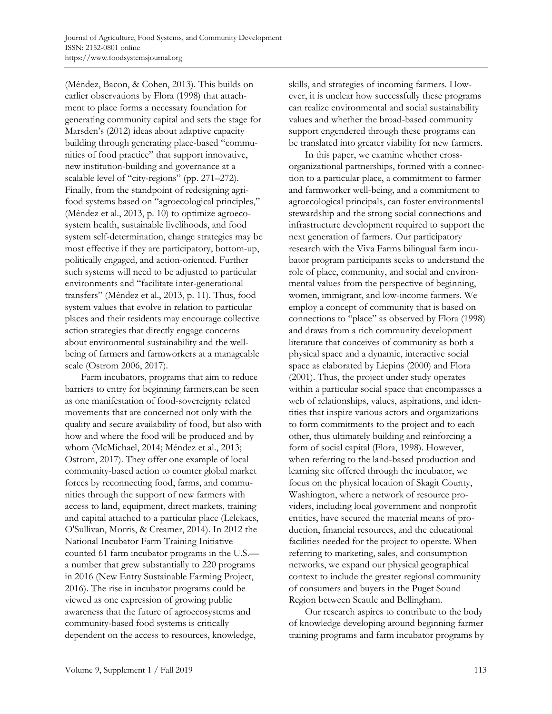(Méndez, Bacon, & Cohen, 2013). This builds on earlier observations by Flora (1998) that attachment to place forms a necessary foundation for generating community capital and sets the stage for Marsden's (2012) ideas about adaptive capacity building through generating place-based "communities of food practice" that support innovative, new institution-building and governance at a scalable level of "city-regions" (pp. 271–272). Finally, from the standpoint of redesigning agrifood systems based on "agroecological principles," (Méndez et al., 2013, p. 10) to optimize agroecosystem health, sustainable livelihoods, and food system self-determination, change strategies may be most effective if they are participatory, bottom-up, politically engaged, and action-oriented. Further such systems will need to be adjusted to particular environments and "facilitate inter-generational transfers" (Méndez et al., 2013, p. 11). Thus, food system values that evolve in relation to particular places and their residents may encourage collective action strategies that directly engage concerns about environmental sustainability and the wellbeing of farmers and farmworkers at a manageable scale (Ostrom 2006, 2017).

 Farm incubators, programs that aim to reduce barriers to entry for beginning farmers,can be seen as one manifestation of food-sovereignty related movements that are concerned not only with the quality and secure availability of food, but also with how and where the food will be produced and by whom (McMichael, 2014; Méndez et al., 2013; Ostrom, 2017). They offer one example of local community-based action to counter global market forces by reconnecting food, farms, and communities through the support of new farmers with access to land, equipment, direct markets, training and capital attached to a particular place (Lelekacs, O'Sullivan, Morris, & Creamer, 2014). In 2012 the National Incubator Farm Training Initiative counted 61 farm incubator programs in the U.S. a number that grew substantially to 220 programs in 2016 (New Entry Sustainable Farming Project, 2016). The rise in incubator programs could be viewed as one expression of growing public awareness that the future of agroecosystems and community-based food systems is critically dependent on the access to resources, knowledge,

skills, and strategies of incoming farmers. However, it is unclear how successfully these programs can realize environmental and social sustainability values and whether the broad-based community support engendered through these programs can be translated into greater viability for new farmers.

 In this paper, we examine whether crossorganizational partnerships, formed with a connection to a particular place, a commitment to farmer and farmworker well-being, and a commitment to agroecological principals, can foster environmental stewardship and the strong social connections and infrastructure development required to support the next generation of farmers. Our participatory research with the Viva Farms bilingual farm incubator program participants seeks to understand the role of place, community, and social and environmental values from the perspective of beginning, women, immigrant, and low-income farmers. We employ a concept of community that is based on connections to "place" as observed by Flora (1998) and draws from a rich community development literature that conceives of community as both a physical space and a dynamic, interactive social space as elaborated by Liepins (2000) and Flora (2001). Thus, the project under study operates within a particular social space that encompasses a web of relationships, values, aspirations, and identities that inspire various actors and organizations to form commitments to the project and to each other, thus ultimately building and reinforcing a form of social capital (Flora, 1998). However, when referring to the land-based production and learning site offered through the incubator, we focus on the physical location of Skagit County, Washington, where a network of resource providers, including local government and nonprofit entities, have secured the material means of production, financial resources, and the educational facilities needed for the project to operate. When referring to marketing, sales, and consumption networks, we expand our physical geographical context to include the greater regional community of consumers and buyers in the Puget Sound Region between Seattle and Bellingham.

 Our research aspires to contribute to the body of knowledge developing around beginning farmer training programs and farm incubator programs by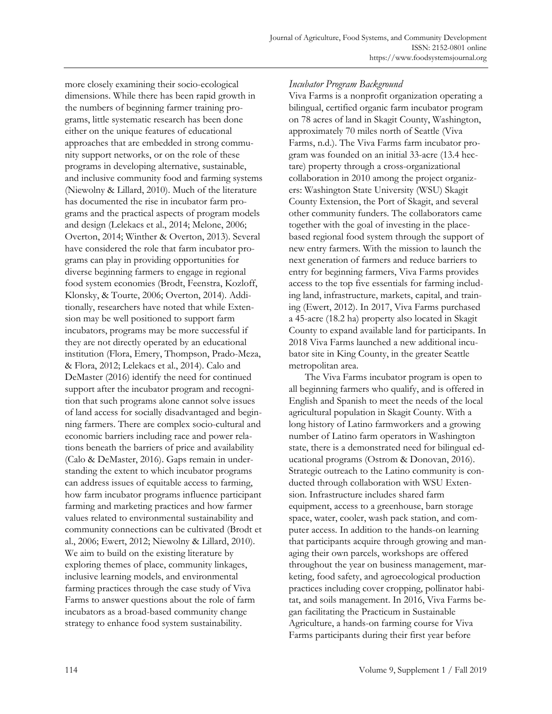more closely examining their socio-ecological dimensions. While there has been rapid growth in the numbers of beginning farmer training programs, little systematic research has been done either on the unique features of educational approaches that are embedded in strong community support networks, or on the role of these programs in developing alternative, sustainable, and inclusive community food and farming systems (Niewolny & Lillard, 2010). Much of the literature has documented the rise in incubator farm programs and the practical aspects of program models and design (Lelekacs et al., 2014; Melone, 2006; Overton, 2014; Winther & Overton, 2013). Several have considered the role that farm incubator programs can play in providing opportunities for diverse beginning farmers to engage in regional food system economies (Brodt, Feenstra, Kozloff, Klonsky, & Tourte, 2006; Overton, 2014). Additionally, researchers have noted that while Extension may be well positioned to support farm incubators, programs may be more successful if they are not directly operated by an educational institution (Flora, Emery, Thompson, Prado-Meza, & Flora, 2012; Lelekacs et al., 2014). Calo and DeMaster (2016) identify the need for continued support after the incubator program and recognition that such programs alone cannot solve issues of land access for socially disadvantaged and beginning farmers. There are complex socio-cultural and economic barriers including race and power relations beneath the barriers of price and availability (Calo & DeMaster, 2016). Gaps remain in understanding the extent to which incubator programs can address issues of equitable access to farming, how farm incubator programs influence participant farming and marketing practices and how farmer values related to environmental sustainability and community connections can be cultivated (Brodt et al., 2006; Ewert, 2012; Niewolny & Lillard, 2010). We aim to build on the existing literature by exploring themes of place, community linkages, inclusive learning models, and environmental farming practices through the case study of Viva Farms to answer questions about the role of farm incubators as a broad-based community change strategy to enhance food system sustainability.

## *Incubator Program Background*

Viva Farms is a nonprofit organization operating a bilingual, certified organic farm incubator program on 78 acres of land in Skagit County, Washington, approximately 70 miles north of Seattle (Viva Farms, n.d.). The Viva Farms farm incubator program was founded on an initial 33-acre (13.4 hectare) property through a cross-organizational collaboration in 2010 among the project organizers: Washington State University (WSU) Skagit County Extension, the Port of Skagit, and several other community funders. The collaborators came together with the goal of investing in the placebased regional food system through the support of new entry farmers. With the mission to launch the next generation of farmers and reduce barriers to entry for beginning farmers, Viva Farms provides access to the top five essentials for farming including land, infrastructure, markets, capital, and training (Ewert, 2012). In 2017, Viva Farms purchased a 45-acre (18.2 ha) property also located in Skagit County to expand available land for participants. In 2018 Viva Farms launched a new additional incubator site in King County, in the greater Seattle metropolitan area.

 The Viva Farms incubator program is open to all beginning farmers who qualify, and is offered in English and Spanish to meet the needs of the local agricultural population in Skagit County. With a long history of Latino farmworkers and a growing number of Latino farm operators in Washington state, there is a demonstrated need for bilingual educational programs (Ostrom & Donovan, 2016). Strategic outreach to the Latino community is conducted through collaboration with WSU Extension. Infrastructure includes shared farm equipment, access to a greenhouse, barn storage space, water, cooler, wash pack station, and computer access. In addition to the hands-on learning that participants acquire through growing and managing their own parcels, workshops are offered throughout the year on business management, marketing, food safety, and agroecological production practices including cover cropping, pollinator habitat, and soils management. In 2016, Viva Farms began facilitating the Practicum in Sustainable Agriculture, a hands-on farming course for Viva Farms participants during their first year before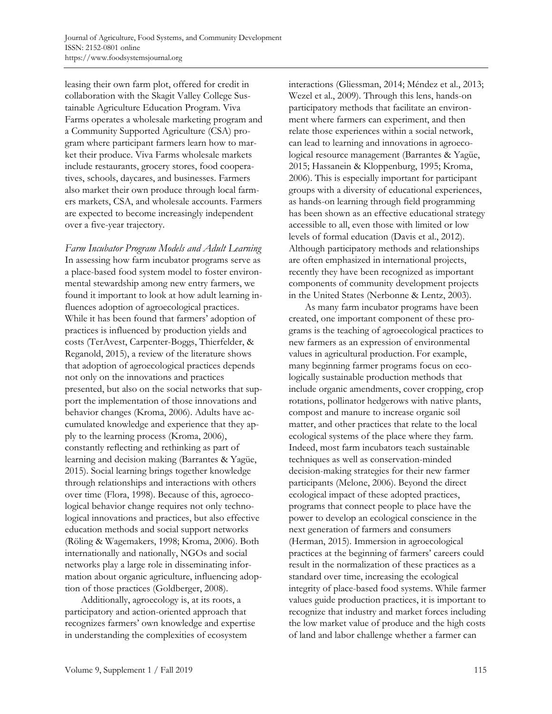leasing their own farm plot, offered for credit in collaboration with the Skagit Valley College Sustainable Agriculture Education Program. Viva Farms operates a wholesale marketing program and a Community Supported Agriculture (CSA) program where participant farmers learn how to market their produce. Viva Farms wholesale markets include restaurants, grocery stores, food cooperatives, schools, daycares, and businesses. Farmers also market their own produce through local farmers markets, CSA, and wholesale accounts. Farmers are expected to become increasingly independent over a five-year trajectory.

*Farm Incubator Program Models and Adult Learning*  In assessing how farm incubator programs serve as a place-based food system model to foster environmental stewardship among new entry farmers, we found it important to look at how adult learning influences adoption of agroecological practices. While it has been found that farmers' adoption of practices is influenced by production yields and costs (TerAvest, Carpenter-Boggs, Thierfelder, & Reganold, 2015), a review of the literature shows that adoption of agroecological practices depends not only on the innovations and practices presented, but also on the social networks that support the implementation of those innovations and behavior changes (Kroma, 2006). Adults have accumulated knowledge and experience that they apply to the learning process (Kroma, 2006), constantly reflecting and rethinking as part of learning and decision making (Barrantes & Yagüe, 2015). Social learning brings together knowledge through relationships and interactions with others over time (Flora, 1998). Because of this, agroecological behavior change requires not only technological innovations and practices, but also effective education methods and social support networks (Röling & Wagemakers, 1998; Kroma, 2006). Both internationally and nationally, NGOs and social networks play a large role in disseminating information about organic agriculture, influencing adoption of those practices (Goldberger, 2008).

 Additionally, agroecology is, at its roots, a participatory and action-oriented approach that recognizes farmers' own knowledge and expertise in understanding the complexities of ecosystem

interactions (Gliessman, 2014; Méndez et al., 2013; Wezel et al., 2009). Through this lens, hands-on participatory methods that facilitate an environment where farmers can experiment, and then relate those experiences within a social network, can lead to learning and innovations in agroecological resource management (Barrantes & Yagüe, 2015; Hassanein & Kloppenburg, 1995; Kroma, 2006). This is especially important for participant groups with a diversity of educational experiences, as hands-on learning through field programming has been shown as an effective educational strategy accessible to all, even those with limited or low levels of formal education (Davis et al., 2012). Although participatory methods and relationships are often emphasized in international projects, recently they have been recognized as important components of community development projects in the United States (Nerbonne & Lentz, 2003).

 As many farm incubator programs have been created, one important component of these programs is the teaching of agroecological practices to new farmers as an expression of environmental values in agricultural production. For example, many beginning farmer programs focus on ecologically sustainable production methods that include organic amendments, cover cropping, crop rotations, pollinator hedgerows with native plants, compost and manure to increase organic soil matter, and other practices that relate to the local ecological systems of the place where they farm. Indeed, most farm incubators teach sustainable techniques as well as conservation-minded decision-making strategies for their new farmer participants (Melone, 2006). Beyond the direct ecological impact of these adopted practices, programs that connect people to place have the power to develop an ecological conscience in the next generation of farmers and consumers (Herman, 2015). Immersion in agroecological practices at the beginning of farmers' careers could result in the normalization of these practices as a standard over time, increasing the ecological integrity of place-based food systems. While farmer values guide production practices, it is important to recognize that industry and market forces including the low market value of produce and the high costs of land and labor challenge whether a farmer can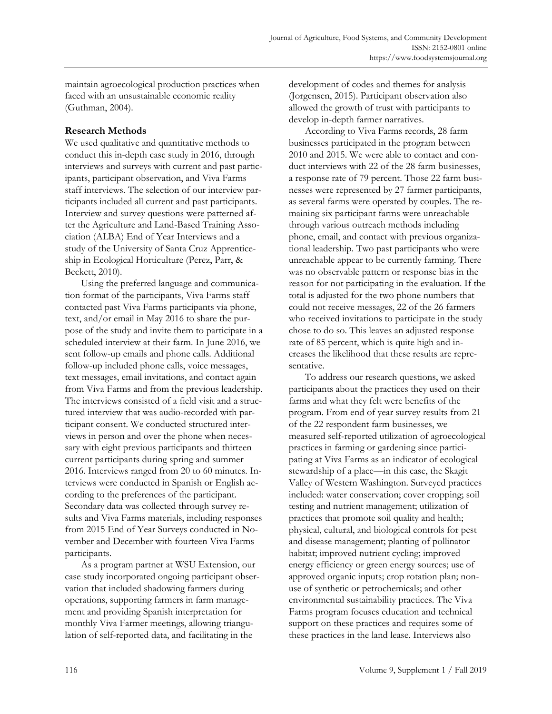maintain agroecological production practices when faced with an unsustainable economic reality (Guthman, 2004).

#### **Research Methods**

We used qualitative and quantitative methods to conduct this in-depth case study in 2016, through interviews and surveys with current and past participants, participant observation, and Viva Farms staff interviews. The selection of our interview participants included all current and past participants. Interview and survey questions were patterned after the Agriculture and Land-Based Training Association (ALBA) End of Year Interviews and a study of the University of Santa Cruz Apprenticeship in Ecological Horticulture (Perez, Parr, & Beckett, 2010).

 Using the preferred language and communication format of the participants, Viva Farms staff contacted past Viva Farms participants via phone, text, and/or email in May 2016 to share the purpose of the study and invite them to participate in a scheduled interview at their farm. In June 2016, we sent follow-up emails and phone calls. Additional follow-up included phone calls, voice messages, text messages, email invitations, and contact again from Viva Farms and from the previous leadership. The interviews consisted of a field visit and a structured interview that was audio-recorded with participant consent. We conducted structured interviews in person and over the phone when necessary with eight previous participants and thirteen current participants during spring and summer 2016. Interviews ranged from 20 to 60 minutes. Interviews were conducted in Spanish or English according to the preferences of the participant. Secondary data was collected through survey results and Viva Farms materials, including responses from 2015 End of Year Surveys conducted in November and December with fourteen Viva Farms participants.

 As a program partner at WSU Extension, our case study incorporated ongoing participant observation that included shadowing farmers during operations, supporting farmers in farm management and providing Spanish interpretation for monthly Viva Farmer meetings, allowing triangulation of self-reported data, and facilitating in the

development of codes and themes for analysis (Jorgensen, 2015). Participant observation also allowed the growth of trust with participants to develop in-depth farmer narratives.

 According to Viva Farms records, 28 farm businesses participated in the program between 2010 and 2015. We were able to contact and conduct interviews with 22 of the 28 farm businesses, a response rate of 79 percent. Those 22 farm businesses were represented by 27 farmer participants, as several farms were operated by couples. The remaining six participant farms were unreachable through various outreach methods including phone, email, and contact with previous organizational leadership. Two past participants who were unreachable appear to be currently farming. There was no observable pattern or response bias in the reason for not participating in the evaluation. If the total is adjusted for the two phone numbers that could not receive messages, 22 of the 26 farmers who received invitations to participate in the study chose to do so. This leaves an adjusted response rate of 85 percent, which is quite high and increases the likelihood that these results are representative.

 To address our research questions, we asked participants about the practices they used on their farms and what they felt were benefits of the program. From end of year survey results from 21 of the 22 respondent farm businesses, we measured self-reported utilization of agroecological practices in farming or gardening since participating at Viva Farms as an indicator of ecological stewardship of a place—in this case, the Skagit Valley of Western Washington. Surveyed practices included: water conservation; cover cropping; soil testing and nutrient management; utilization of practices that promote soil quality and health; physical, cultural, and biological controls for pest and disease management; planting of pollinator habitat; improved nutrient cycling; improved energy efficiency or green energy sources; use of approved organic inputs; crop rotation plan; nonuse of synthetic or petrochemicals; and other environmental sustainability practices. The Viva Farms program focuses education and technical support on these practices and requires some of these practices in the land lease. Interviews also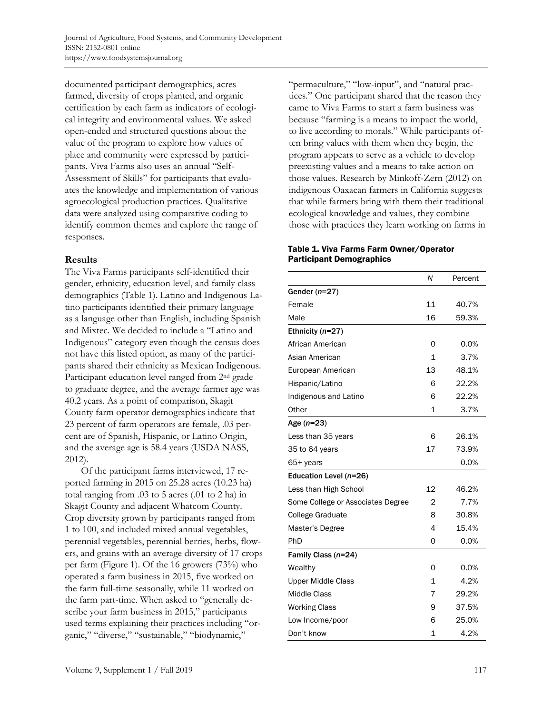documented participant demographics, acres farmed, diversity of crops planted, and organic certification by each farm as indicators of ecological integrity and environmental values. We asked open-ended and structured questions about the value of the program to explore how values of place and community were expressed by participants. Viva Farms also uses an annual "Self-Assessment of Skills" for participants that evaluates the knowledge and implementation of various agroecological production practices. Qualitative data were analyzed using comparative coding to identify common themes and explore the range of responses.

#### **Results**

The Viva Farms participants self-identified their gender, ethnicity, education level, and family class demographics (Table 1). Latino and Indigenous Latino participants identified their primary language as a language other than English, including Spanish and Mixtec. We decided to include a "Latino and Indigenous" category even though the census does not have this listed option, as many of the participants shared their ethnicity as Mexican Indigenous. Participant education level ranged from 2<sup>nd</sup> grade to graduate degree, and the average farmer age was 40.2 years. As a point of comparison, Skagit County farm operator demographics indicate that 23 percent of farm operators are female, .03 percent are of Spanish, Hispanic, or Latino Origin, and the average age is 58.4 years (USDA NASS, 2012).

 Of the participant farms interviewed, 17 reported farming in 2015 on 25.28 acres (10.23 ha) total ranging from .03 to 5 acres (.01 to 2 ha) in Skagit County and adjacent Whatcom County. Crop diversity grown by participants ranged from 1 to 100, and included mixed annual vegetables, perennial vegetables, perennial berries, herbs, flowers, and grains with an average diversity of 17 crops per farm (Figure 1). Of the 16 growers (73%) who operated a farm business in 2015, five worked on the farm full-time seasonally, while 11 worked on the farm part-time. When asked to "generally describe your farm business in 2015," participants used terms explaining their practices including "organic," "diverse," "sustainable," "biodynamic,"

"permaculture," "low-input", and "natural practices." One participant shared that the reason they came to Viva Farms to start a farm business was because "farming is a means to impact the world, to live according to morals." While participants often bring values with them when they begin, the program appears to serve as a vehicle to develop preexisting values and a means to take action on those values. Research by Minkoff-Zern (2012) on indigenous Oaxacan farmers in California suggests that while farmers bring with them their traditional ecological knowledge and values, they combine those with practices they learn working on farms in

#### Table 1. Viva Farms Farm Owner/Operator Participant Demographics

|                                   | N            | Percent |  |
|-----------------------------------|--------------|---------|--|
| Gender $(n=27)$                   |              |         |  |
| Female                            | 11           | 40.7%   |  |
| Male                              | 16           | 59.3%   |  |
| Ethnicity $(n=27)$                |              |         |  |
| African American                  | 0            | 0.0%    |  |
| Asian American                    | 1            | 3.7%    |  |
| European American                 | 13           | 48.1%   |  |
| Hispanic/Latino                   | 6            | 22.2%   |  |
| Indigenous and Latino             | 6            | 22.2%   |  |
| Other                             | 1            | 3.7%    |  |
| Age $(n=23)$                      |              |         |  |
| Less than 35 years                | 6            | 26.1%   |  |
| 35 to 64 years                    | 17           | 73.9%   |  |
| 65+ years                         |              | 0.0%    |  |
| Education Level (n=26)            |              |         |  |
| Less than High School             | 12           | 46.2%   |  |
| Some College or Associates Degree | 2            | 7.7%    |  |
| College Graduate                  | 8            | 30.8%   |  |
| Master's Degree                   | 4            | 15.4%   |  |
| PhD                               | 0            | 0.0%    |  |
| Family Class (n=24)               |              |         |  |
| Wealthy                           | 0            | 0.0%    |  |
| <b>Upper Middle Class</b>         | 1            | 4.2%    |  |
| Middle Class                      | 7            | 29.2%   |  |
| <b>Working Class</b>              | 9            | 37.5%   |  |
| Low Income/poor                   | 6            | 25.0%   |  |
| Don't know                        | $\mathbf{1}$ | 4.2%    |  |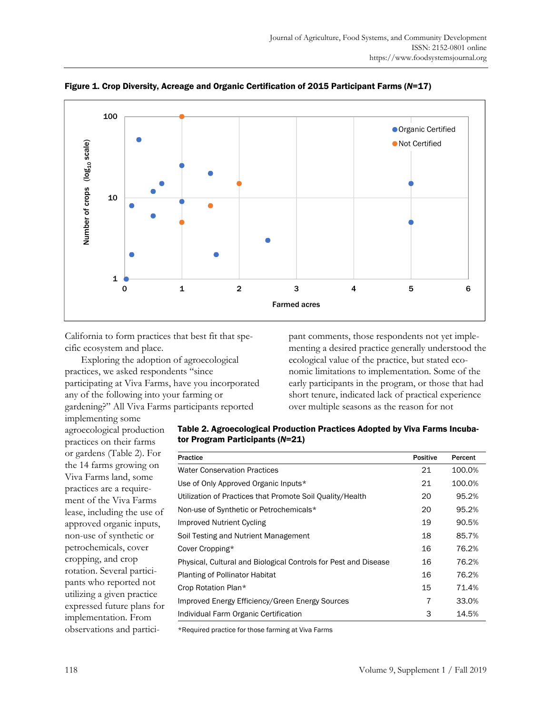

Figure 1. Crop Diversity, Acreage and Organic Certification of 2015 Participant Farms (*N*=17)

California to form practices that best fit that specific ecosystem and place.

 Exploring the adoption of agroecological practices, we asked respondents "since participating at Viva Farms, have you incorporated any of the following into your farming or gardening?" All Viva Farms participants reported

pant comments, those respondents not yet implementing a desired practice generally understood the ecological value of the practice, but stated economic limitations to implementation. Some of the early participants in the program, or those that had short tenure, indicated lack of practical experience over multiple seasons as the reason for not

implementing some agroecological production practices on their farms or gardens (Table 2). For the 14 farms growing on Viva Farms land, some practices are a requirement of the Viva Farms lease, including the use of approved organic inputs, non-use of synthetic or petrochemicals, cover cropping, and crop rotation. Several participants who reported not utilizing a given practice expressed future plans for implementation. From observations and partici-

| Table 2. Agroecological Production Practices Adopted by Viva Farms Incuba- |
|----------------------------------------------------------------------------|
| tor Program Participants (N=21)                                            |

| <b>Practice</b>                                                 | <b>Positive</b> | Percent |
|-----------------------------------------------------------------|-----------------|---------|
| <b>Water Conservation Practices</b>                             | 21              | 100.0%  |
| Use of Only Approved Organic Inputs*                            | 21              | 100.0%  |
| Utilization of Practices that Promote Soil Quality/Health       | 20              | 95.2%   |
| Non-use of Synthetic or Petrochemicals*                         | 20              | 95.2%   |
| Improved Nutrient Cycling                                       | 19              | 90.5%   |
| Soil Testing and Nutrient Management                            | 18              | 85.7%   |
| Cover Cropping*                                                 | 16              | 76.2%   |
| Physical, Cultural and Biological Controls for Pest and Disease | 16              | 76.2%   |
| <b>Planting of Pollinator Habitat</b>                           | 16              | 76.2%   |
| Crop Rotation Plan*                                             | 15              | 71.4%   |
| Improved Energy Efficiency/Green Energy Sources                 | 7               | 33.0%   |
| Individual Farm Organic Certification                           | 3               | 14.5%   |

\*Required practice for those farming at Viva Farms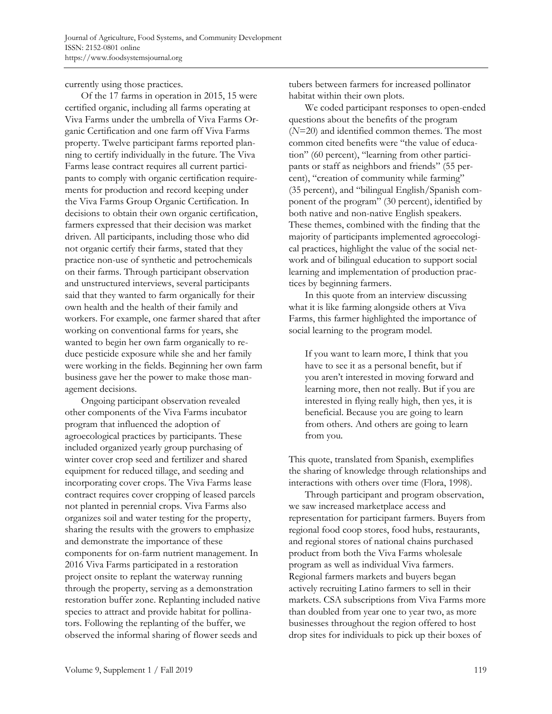currently using those practices.

 Of the 17 farms in operation in 2015, 15 were certified organic, including all farms operating at Viva Farms under the umbrella of Viva Farms Organic Certification and one farm off Viva Farms property. Twelve participant farms reported planning to certify individually in the future. The Viva Farms lease contract requires all current participants to comply with organic certification requirements for production and record keeping under the Viva Farms Group Organic Certification. In decisions to obtain their own organic certification, farmers expressed that their decision was market driven. All participants, including those who did not organic certify their farms, stated that they practice non-use of synthetic and petrochemicals on their farms. Through participant observation and unstructured interviews, several participants said that they wanted to farm organically for their own health and the health of their family and workers. For example, one farmer shared that after working on conventional farms for years, she wanted to begin her own farm organically to reduce pesticide exposure while she and her family were working in the fields. Beginning her own farm business gave her the power to make those management decisions.

 Ongoing participant observation revealed other components of the Viva Farms incubator program that influenced the adoption of agroecological practices by participants. These included organized yearly group purchasing of winter cover crop seed and fertilizer and shared equipment for reduced tillage, and seeding and incorporating cover crops. The Viva Farms lease contract requires cover cropping of leased parcels not planted in perennial crops. Viva Farms also organizes soil and water testing for the property, sharing the results with the growers to emphasize and demonstrate the importance of these components for on-farm nutrient management. In 2016 Viva Farms participated in a restoration project onsite to replant the waterway running through the property, serving as a demonstration restoration buffer zone. Replanting included native species to attract and provide habitat for pollinators. Following the replanting of the buffer, we observed the informal sharing of flower seeds and

tubers between farmers for increased pollinator habitat within their own plots.

 We coded participant responses to open-ended questions about the benefits of the program (*N*=20) and identified common themes. The most common cited benefits were "the value of education" (60 percent), "learning from other participants or staff as neighbors and friends" (55 percent), "creation of community while farming" (35 percent), and "bilingual English/Spanish component of the program" (30 percent), identified by both native and non-native English speakers. These themes, combined with the finding that the majority of participants implemented agroecological practices, highlight the value of the social network and of bilingual education to support social learning and implementation of production practices by beginning farmers.

 In this quote from an interview discussing what it is like farming alongside others at Viva Farms, this farmer highlighted the importance of social learning to the program model.

If you want to learn more, I think that you have to see it as a personal benefit, but if you aren't interested in moving forward and learning more, then not really. But if you are interested in flying really high, then yes, it is beneficial. Because you are going to learn from others. And others are going to learn from you.

This quote, translated from Spanish, exemplifies the sharing of knowledge through relationships and interactions with others over time (Flora, 1998).

 Through participant and program observation, we saw increased marketplace access and representation for participant farmers. Buyers from regional food coop stores, food hubs, restaurants, and regional stores of national chains purchased product from both the Viva Farms wholesale program as well as individual Viva farmers. Regional farmers markets and buyers began actively recruiting Latino farmers to sell in their markets. CSA subscriptions from Viva Farms more than doubled from year one to year two, as more businesses throughout the region offered to host drop sites for individuals to pick up their boxes of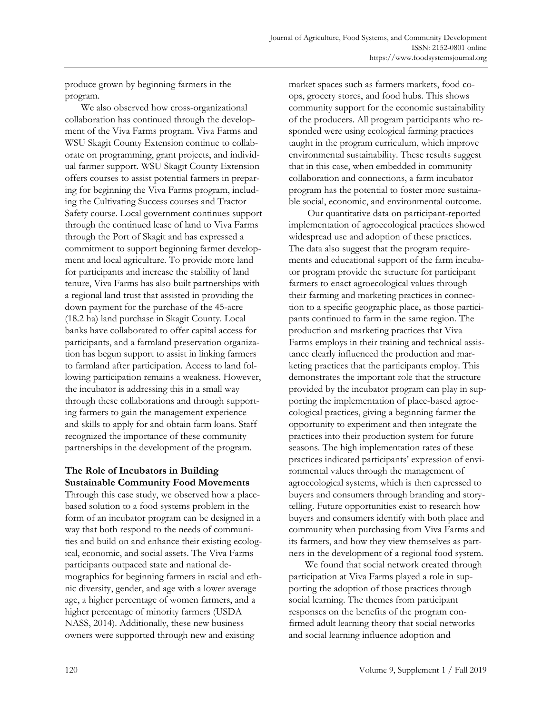produce grown by beginning farmers in the program.

 We also observed how cross-organizational collaboration has continued through the development of the Viva Farms program. Viva Farms and WSU Skagit County Extension continue to collaborate on programming, grant projects, and individual farmer support. WSU Skagit County Extension offers courses to assist potential farmers in preparing for beginning the Viva Farms program, including the Cultivating Success courses and Tractor Safety course. Local government continues support through the continued lease of land to Viva Farms through the Port of Skagit and has expressed a commitment to support beginning farmer development and local agriculture. To provide more land for participants and increase the stability of land tenure, Viva Farms has also built partnerships with a regional land trust that assisted in providing the down payment for the purchase of the 45-acre (18.2 ha) land purchase in Skagit County. Local banks have collaborated to offer capital access for participants, and a farmland preservation organization has begun support to assist in linking farmers to farmland after participation. Access to land following participation remains a weakness. However, the incubator is addressing this in a small way through these collaborations and through supporting farmers to gain the management experience and skills to apply for and obtain farm loans. Staff recognized the importance of these community partnerships in the development of the program.

#### **The Role of Incubators in Building Sustainable Community Food Movements**

Through this case study, we observed how a placebased solution to a food systems problem in the form of an incubator program can be designed in a way that both respond to the needs of communities and build on and enhance their existing ecological, economic, and social assets. The Viva Farms participants outpaced state and national demographics for beginning farmers in racial and ethnic diversity, gender, and age with a lower average age, a higher percentage of women farmers, and a higher percentage of minority farmers (USDA NASS, 2014). Additionally, these new business owners were supported through new and existing

market spaces such as farmers markets, food coops, grocery stores, and food hubs. This shows community support for the economic sustainability of the producers. All program participants who responded were using ecological farming practices taught in the program curriculum, which improve environmental sustainability. These results suggest that in this case, when embedded in community collaboration and connections, a farm incubator program has the potential to foster more sustainable social, economic, and environmental outcome.

 Our quantitative data on participant-reported implementation of agroecological practices showed widespread use and adoption of these practices. The data also suggest that the program requirements and educational support of the farm incubator program provide the structure for participant farmers to enact agroecological values through their farming and marketing practices in connection to a specific geographic place, as those participants continued to farm in the same region. The production and marketing practices that Viva Farms employs in their training and technical assistance clearly influenced the production and marketing practices that the participants employ. This demonstrates the important role that the structure provided by the incubator program can play in supporting the implementation of place-based agroecological practices, giving a beginning farmer the opportunity to experiment and then integrate the practices into their production system for future seasons. The high implementation rates of these practices indicated participants' expression of environmental values through the management of agroecological systems, which is then expressed to buyers and consumers through branding and storytelling. Future opportunities exist to research how buyers and consumers identify with both place and community when purchasing from Viva Farms and its farmers, and how they view themselves as partners in the development of a regional food system.

 We found that social network created through participation at Viva Farms played a role in supporting the adoption of those practices through social learning. The themes from participant responses on the benefits of the program confirmed adult learning theory that social networks and social learning influence adoption and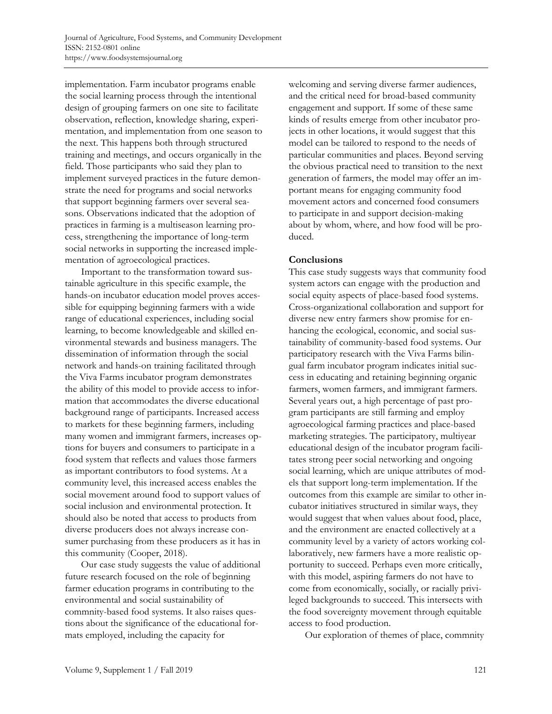implementation. Farm incubator programs enable the social learning process through the intentional design of grouping farmers on one site to facilitate observation, reflection, knowledge sharing, experimentation, and implementation from one season to the next. This happens both through structured training and meetings, and occurs organically in the field. Those participants who said they plan to implement surveyed practices in the future demonstrate the need for programs and social networks that support beginning farmers over several seasons. Observations indicated that the adoption of practices in farming is a multiseason learning process, strengthening the importance of long-term social networks in supporting the increased implementation of agroecological practices.

 Important to the transformation toward sustainable agriculture in this specific example, the hands-on incubator education model proves accessible for equipping beginning farmers with a wide range of educational experiences, including social learning, to become knowledgeable and skilled environmental stewards and business managers. The dissemination of information through the social network and hands-on training facilitated through the Viva Farms incubator program demonstrates the ability of this model to provide access to information that accommodates the diverse educational background range of participants. Increased access to markets for these beginning farmers, including many women and immigrant farmers, increases options for buyers and consumers to participate in a food system that reflects and values those farmers as important contributors to food systems. At a community level, this increased access enables the social movement around food to support values of social inclusion and environmental protection. It should also be noted that access to products from diverse producers does not always increase consumer purchasing from these producers as it has in this community (Cooper, 2018).

 Our case study suggests the value of additional future research focused on the role of beginning farmer education programs in contributing to the environmental and social sustainability of commnity-based food systems. It also raises questions about the significance of the educational formats employed, including the capacity for

welcoming and serving diverse farmer audiences, and the critical need for broad-based community engagement and support. If some of these same kinds of results emerge from other incubator projects in other locations, it would suggest that this model can be tailored to respond to the needs of particular communities and places. Beyond serving the obvious practical need to transition to the next generation of farmers, the model may offer an important means for engaging community food movement actors and concerned food consumers to participate in and support decision-making about by whom, where, and how food will be produced.

#### **Conclusions**

This case study suggests ways that community food system actors can engage with the production and social equity aspects of place-based food systems. Cross-organizational collaboration and support for diverse new entry farmers show promise for enhancing the ecological, economic, and social sustainability of community-based food systems. Our participatory research with the Viva Farms bilingual farm incubator program indicates initial success in educating and retaining beginning organic farmers, women farmers, and immigrant farmers. Several years out, a high percentage of past program participants are still farming and employ agroecological farming practices and place-based marketing strategies. The participatory, multiyear educational design of the incubator program facilitates strong peer social networking and ongoing social learning, which are unique attributes of models that support long-term implementation. If the outcomes from this example are similar to other incubator initiatives structured in similar ways, they would suggest that when values about food, place, and the environment are enacted collectively at a community level by a variety of actors working collaboratively, new farmers have a more realistic opportunity to succeed. Perhaps even more critically, with this model, aspiring farmers do not have to come from economically, socially, or racially privileged backgrounds to succeed. This intersects with the food sovereignty movement through equitable access to food production.

Our exploration of themes of place, commnity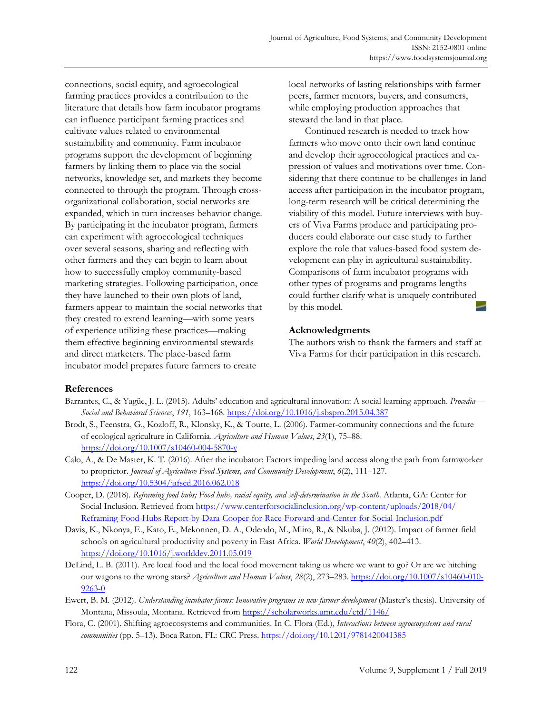connections, social equity, and agroecological farming practices provides a contribution to the literature that details how farm incubator programs can influence participant farming practices and cultivate values related to environmental sustainability and community. Farm incubator programs support the development of beginning farmers by linking them to place via the social networks, knowledge set, and markets they become connected to through the program. Through crossorganizational collaboration, social networks are expanded, which in turn increases behavior change. By participating in the incubator program, farmers can experiment with agroecological techniques over several seasons, sharing and reflecting with other farmers and they can begin to learn about how to successfully employ community-based marketing strategies. Following participation, once they have launched to their own plots of land, farmers appear to maintain the social networks that they created to extend learning—with some years of experience utilizing these practices—making them effective beginning environmental stewards and direct marketers. The place-based farm incubator model prepares future farmers to create

local networks of lasting relationships with farmer peers, farmer mentors, buyers, and consumers, while employing production approaches that steward the land in that place.

 Continued research is needed to track how farmers who move onto their own land continue and develop their agroecological practices and expression of values and motivations over time. Considering that there continue to be challenges in land access after participation in the incubator program, long-term research will be critical determining the viability of this model. Future interviews with buyers of Viva Farms produce and participating producers could elaborate our case study to further explore the role that values-based food system development can play in agricultural sustainability. Comparisons of farm incubator programs with other types of programs and programs lengths could further clarify what is uniquely contributed by this model.

#### **Acknowledgments**

The authors wish to thank the farmers and staff at Viva Farms for their participation in this research.

#### **References**

- Barrantes, C., & Yagüe, J. L. (2015). Adults' education and agricultural innovation: A social learning approach. *Procedia— Social and Behavioral Sciences*, *191*, 163–168. https://doi.org/10.1016/j.sbspro.2015.04.387
- Brodt, S., Feenstra, G., Kozloff, R., Klonsky, K., & Tourte, L. (2006). Farmer-community connections and the future of ecological agriculture in California. *Agriculture and Human Values*, *23*(1), 75–88. https://doi.org/10.1007/s10460-004-5870-y
- Calo, A., & De Master, K. T. (2016). After the incubator: Factors impeding land access along the path from farmworker to proprietor. *Journal of Agriculture Food Systems, and Community Development*, *6*(2), 111–127. https://doi.org/10.5304/jafscd.2016.062.018
- Cooper, D. (2018). *Reframing food hubs; Food hubs, racial equity, and self-determination in the South.* Atlanta, GA: Center for [Social Inclusion. Retrieved from https://www.centerforsocialinclusion.org/wp-content/uploads/2018/04/](https://www.centerforsocialinclusion.org/wp-content/uploads/2018/04/Reframing-Food-Hubs-Report-by-Dara-Cooper-for-Race-Forward-and-Center-for-Social-Inclusion.pdf) Reframing-Food-Hubs-Report-by-Dara-Cooper-for-Race-Forward-and-Center-for-Social-Inclusion.pdf
- Davis, K., Nkonya, E., Kato, E., Mekonnen, D. A., Odendo, M., Miiro, R., & Nkuba, J. (2012). Impact of farmer field schools on agricultural productivity and poverty in East Africa. *World Development*, *40*(2), 402–413. https://doi.org/10.1016/j.worlddev.2011.05.019
- DeLind, L. B. (2011). Are local food and the local food movement taking us where we want to go? Or are we hitching our wagons to the wrong stars? *Agriculture and Human Values*, *28*(2), 273–283. https://doi.org/10.1007/s10460-010- 9263-0
- Ewert, B. M. (2012). *Understanding incubator farms: Innovative programs in new farmer development* (Master's thesis). University of Montana, Missoula, Montana. Retrieved from https://scholarworks.umt.edu/etd/1146/
- Flora, C. (2001). Shifting agroecosystems and communities. In C. Flora (Ed.), *Interactions between agroecosystems and rural communities* (pp. 5–13)*.* Boca Raton, FL: CRC Press. https://doi.org/10.1201/9781420041385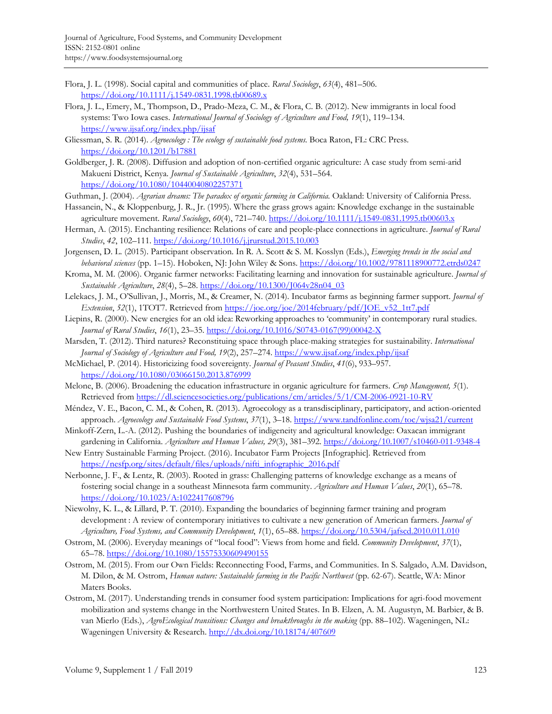- Flora, J. L. (1998). Social capital and communities of place. *Rural Sociology*, *63*(4), 481–506. https://doi.org/10.1111/j.1549-0831.1998.tb00689.x
- Flora, J. L., Emery, M., Thompson, D., Prado-Meza, C. M., & Flora, C. B. (2012). New immigrants in local food systems: Two Iowa cases. *International Journal of Sociology of Agriculture and Food, 19*(1), 119–134. https://www.ijsaf.org/index.php/ijsaf
- Gliessman, S. R. (2014). *Agroecology : The ecology of sustainable food systems*. Boca Raton, FL: CRC Press. https://doi.org/10.1201/b17881
- Goldberger, J. R. (2008). Diffusion and adoption of non-certified organic agriculture: A case study from semi-arid Makueni District, Kenya. *Journal of Sustainable Agriculture*, *32*(4), 531–564. https://doi.org/10.1080/10440040802257371
- Guthman, J. (2004). *Agrarian dreams: The paradox of organic farming in California*. Oakland: University of California Press.
- Hassanein, N., & Kloppenburg, J. R., Jr. (1995). Where the grass grows again: Knowledge exchange in the sustainable agriculture movement. *Rural Sociology*, *60*(4), 721–740. https://doi.org/10.1111/j.1549-0831.1995.tb00603.x
- Herman, A. (2015). Enchanting resilience: Relations of care and people-place connections in agriculture. *Journal of Rural Studies*, *42*, 102–111. https://doi.org/10.1016/j.jrurstud.2015.10.003
- Jorgensen, D. L. (2015). Participant observation. In R. A. Scott & S. M. Kosslyn (Eds.), *Emerging trends in the social and behavioral sciences* (pp. 1–15). Hoboken, NJ: John Wiley & Sons. https://doi.org/10.1002/9781118900772.etrds0247
- Kroma, M. M. (2006). Organic farmer networks: Facilitating learning and innovation for sustainable agriculture. *Journal of Sustainable Agriculture*, *28*(4), 5–28. https://doi.org/10.1300/J064v28n04\_03
- Lelekacs, J. M., O'Sullivan, J., Morris, M., & Creamer, N. (2014). Incubator farms as beginning farmer support. *Journal of Extension*, *52*(1), 1TOT7. Retrieved from https://joe.org/joe/2014february/pdf/JOE\_v52\_1tt7.pdf
- Liepins, R. (2000). New energies for an old idea: Reworking approaches to 'community' in contemporary rural studies. *Journal of Rural Studies*, *16*(1), 23–35. [https://doi.org/10.1016/S0743-0167\(99\)00042-X](https://doi.org/10.1016/S0743-0167(99)00042-X)
- Marsden, T. (2012). Third natures? Reconstituing space through place-making strategies for sustainability. *International Journal of Sociology of Agriculture and Food, 19*(2), 257–274. https://www.ijsaf.org/index.php/ijsaf
- McMichael, P. (2014). Historicizing food sovereignty. *Journal of Peasant Studies*, *41*(6), 933–957. https://doi.org/10.1080/03066150.2013.876999
- Melone, B. (2006). Broadening the education infrastructure in organic agriculture for farmers. *Crop Management, 5*(1). Retrieved from https://dl.sciencesocieties.org/publications/cm/articles/5/1/CM-2006-0921-10-RV
- Méndez, V. E., Bacon, C. M., & Cohen, R. (2013). Agroecology as a transdisciplinary, participatory, and action-oriented approach. *Agroecology and Sustainable Food Systems*, *37*(1), 3–18. https://www.tandfonline.com/toc/wjsa21/current
- Minkoff-Zern, L.-A. (2012). Pushing the boundaries of indigeneity and agricultural knowledge: Oaxacan immigrant gardening in California. *Agriculture and Human Values, 29*(3), 381–392. https://doi.org/10.1007/s10460-011-9348-4
- New Entry Sustainable Farming Project. (2016). Incubator Farm Projects [Infographic]. Retrieved from https://nesfp.org/sites/default/files/uploads/nifti\_infographic\_2016.pdf
- Nerbonne, J. F., & Lentz, R. (2003). Rooted in grass: Challenging patterns of knowledge exchange as a means of fostering social change in a southeast Minnesota farm community. *Agriculture and Human Values*, *20*(1), 65–78. https://doi.org/10.1023/A:1022417608796
- Niewolny, K. L., & Lillard, P. T. (2010). Expanding the boundaries of beginning farmer training and program development : A review of contemporary initiatives to cultivate a new generation of American farmers. *Journal of Agriculture, Food Systems, and Community Development*, *1*(1), 65–88. https://doi.org/10.5304/jafscd.2010.011.010
- Ostrom, M. (2006). Everyday meanings of "local food": Views from home and field. *Community Development*, *37*(1), 65–78. https://doi.org/10.1080/15575330609490155
- Ostrom, M. (2015). From our Own Fields: Reconnecting Food, Farms, and Communities. In S. Salgado, A.M. Davidson, M. Dilon, & M. Ostrom, *Human nature: Sustainable farming in the Pacific Northwest* (pp. 62-67). Seattle, WA: Minor Maters Books.
- Ostrom, M. (2017). Understanding trends in consumer food system participation: Implications for agri-food movement mobilization and systems change in the Northwestern United States. In B. Elzen, A. M. Augustyn, M. Barbier, & B. van Mierlo (Eds.), *AgroEcological transitions: Changes and breakthroughs in the making* (pp. 88–102). Wageningen, NL: Wageningen University & Research. http://dx.doi.org/10.18174/407609